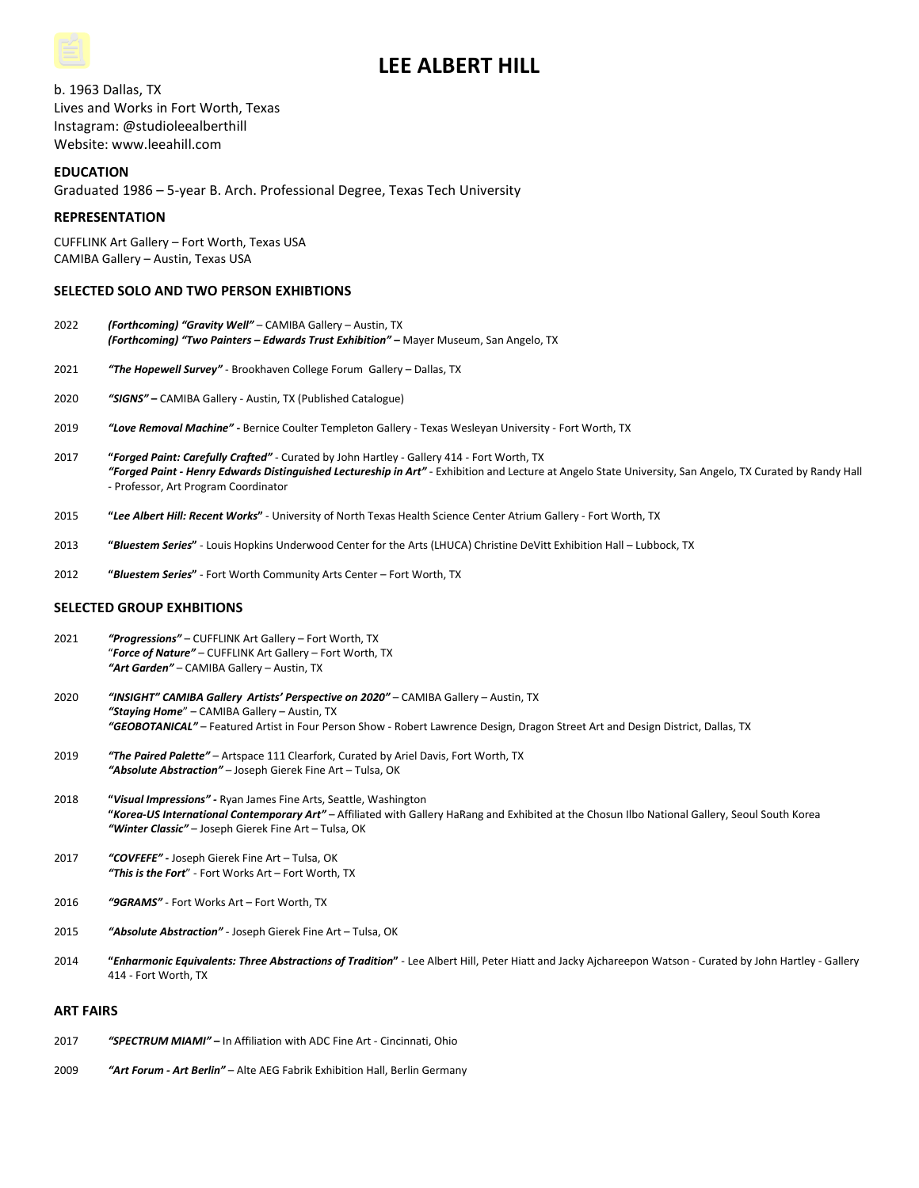# **LEE ALBERT HILL**

b. 1963 Dallas, TX Lives and Works in Fort Worth, Texas Instagram: @studioleealberthill Website: www.leeahill.com

# **EDUCATION**

Graduated 1986 – 5-year B. Arch. Professional Degree, Texas Tech University

# **REPRESENTATION**

CUFFLINK Art Gallery – Fort Worth, Texas USA CAMIBA Gallery – Austin, Texas USA

# **SELECTED SOLO AND TWO PERSON EXHIBTIONS**

- 2022 *(Forthcoming) "Gravity Well"* CAMIBA Gallery Austin, TX *(Forthcoming) "Two Painters – Edwards Trust Exhibition"* **–** Mayer Museum, San Angelo, TX
- 2021 *"The Hopewell Survey"* Brookhaven College Forum Gallery Dallas, TX
- 2020 *"SIGNS"* **–** CAMIBA Gallery Austin, TX (Published Catalogue)
- 2019 *"Love Removal Machine" -* Bernice Coulter Templeton Gallery Texas Wesleyan University Fort Worth, TX
- 2017 **"***Forged Paint: Carefully Crafted"* Curated by John Hartley Gallery 414 Fort Worth, TX *"Forged Paint - Henry Edwards Distinguished Lectureship in Art"* **-** Exhibition and Lecture at Angelo State University, San Angelo, TX Curated by Randy Hall - Professor, Art Program Coordinator
- 2015 **"***Lee Albert Hill: Recent Works***"** University of North Texas Health Science Center Atrium Gallery Fort Worth, TX
- 2013 **"***Bluestem Series***"** Louis Hopkins Underwood Center for the Arts (LHUCA) Christine DeVitt Exhibition Hall Lubbock, TX
- 2012 **"***Bluestem Series***"** Fort Worth Community Arts Center Fort Worth, TX

# **SELECTED GROUP EXHBITIONS**

- 2021 *"Progressions"* CUFFLINK Art Gallery Fort Worth, TX "*Force of Nature"* – CUFFLINK Art Gallery – Fort Worth, TX *"Art Garden"* – CAMIBA Gallery – Austin, TX
- 2020 *"INSIGHT" CAMIBA Gallery Artists' Perspective on 2020"* CAMIBA Gallery Austin, TX *"Staying Home*" – CAMIBA Gallery – Austin, TX *"GEOBOTANICAL"* – Featured Artist in Four Person Show - Robert Lawrence Design, Dragon Street Art and Design District, Dallas, TX
- 2019 *"The Paired Palette"* Artspace 111 Clearfork, Curated by Ariel Davis, Fort Worth, TX *"Absolute Abstraction"* – Joseph Gierek Fine Art – Tulsa, OK
- 2018 **"***Visual Impressions" -* Ryan James Fine Arts, Seattle, Washington **"***Korea-US International Contemporary Art"* – Affiliated with Gallery HaRang and Exhibited at the Chosun Ilbo National Gallery, Seoul South Korea *"Winter Classic"* – Joseph Gierek Fine Art – Tulsa, OK
- 2017 *"COVFEFE" -* Joseph Gierek Fine Art Tulsa, OK *"This is the Fort*" - Fort Works Art – Fort Worth, TX
- 2016 *"9GRAMS"* Fort Works Art Fort Worth, TX
- 2015 *"Absolute Abstraction"* Joseph Gierek Fine Art Tulsa, OK
- 2014 **"***Enharmonic Equivalents: Three Abstractions of Tradition***"** Lee Albert Hill, Peter Hiatt and Jacky Ajchareepon Watson Curated by John Hartley Gallery 414 - Fort Worth, TX

#### **ART FAIRS**

- 2017 *"SPECTRUM MIAMI" –* In Affiliation with ADC Fine Art Cincinnati, Ohio
- 2009 *"Art Forum - Art Berlin"*  Alte AEG Fabrik Exhibition Hall, Berlin Germany